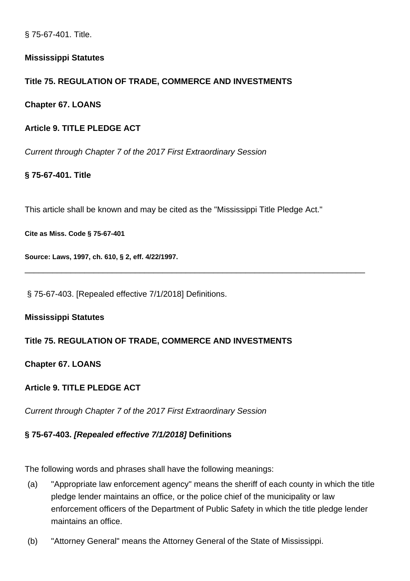§ 75-67-401. Title.

## **Mississippi Statutes**

## **Title 75. REGULATION OF TRADE, COMMERCE AND INVESTMENTS**

**Chapter 67. LOANS**

## **Article 9. TITLE PLEDGE ACT**

Current through Chapter 7 of the 2017 First Extraordinary Session

## **§ 75-67-401. Title**

This article shall be known and may be cited as the "Mississippi Title Pledge Act."

\_\_\_\_\_\_\_\_\_\_\_\_\_\_\_\_\_\_\_\_\_\_\_\_\_\_\_\_\_\_\_\_\_\_\_\_\_\_\_\_\_\_\_\_\_\_\_\_\_\_\_\_\_\_\_\_\_\_\_\_\_\_\_\_\_\_\_\_\_\_\_\_\_\_

**Cite as Miss. Code § 75-67-401**

**Source: Laws, 1997, ch. 610, § 2, eff. 4/22/1997.**

§ 75-67-403. [Repealed effective 7/1/2018] Definitions.

### **Mississippi Statutes**

### **Title 75. REGULATION OF TRADE, COMMERCE AND INVESTMENTS**

### **Chapter 67. LOANS**

## **Article 9. TITLE PLEDGE ACT**

Current through Chapter 7 of the 2017 First Extraordinary Session

### **§ 75-67-403. [Repealed effective 7/1/2018] Definitions**

The following words and phrases shall have the following meanings:

- (a) "Appropriate law enforcement agency" means the sheriff of each county in which the title pledge lender maintains an office, or the police chief of the municipality or law enforcement officers of the Department of Public Safety in which the title pledge lender maintains an office.
- (b) "Attorney General" means the Attorney General of the State of Mississippi.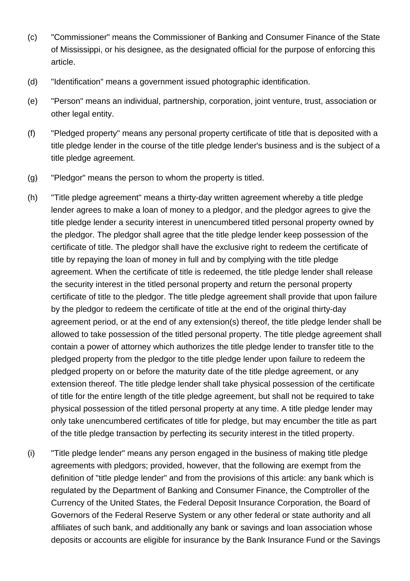- (c) "Commissioner" means the Commissioner of Banking and Consumer Finance of the State of Mississippi, or his designee, as the designated official for the purpose of enforcing this article.
- (d) "Identification" means a government issued photographic identification.
- (e) "Person" means an individual, partnership, corporation, joint venture, trust, association or other legal entity.
- (f) "Pledged property" means any personal property certificate of title that is deposited with a title pledge lender in the course of the title pledge lender's business and is the subject of a title pledge agreement.
- (g) "Pledgor" means the person to whom the property is titled.
- (h) "Title pledge agreement" means a thirty-day written agreement whereby a title pledge lender agrees to make a loan of money to a pledgor, and the pledgor agrees to give the title pledge lender a security interest in unencumbered titled personal property owned by the pledgor. The pledgor shall agree that the title pledge lender keep possession of the certificate of title. The pledgor shall have the exclusive right to redeem the certificate of title by repaying the loan of money in full and by complying with the title pledge agreement. When the certificate of title is redeemed, the title pledge lender shall release the security interest in the titled personal property and return the personal property certificate of title to the pledgor. The title pledge agreement shall provide that upon failure by the pledgor to redeem the certificate of title at the end of the original thirty-day agreement period, or at the end of any extension(s) thereof, the title pledge lender shall be allowed to take possession of the titled personal property. The title pledge agreement shall contain a power of attorney which authorizes the title pledge lender to transfer title to the pledged property from the pledgor to the title pledge lender upon failure to redeem the pledged property on or before the maturity date of the title pledge agreement, or any extension thereof. The title pledge lender shall take physical possession of the certificate of title for the entire length of the title pledge agreement, but shall not be required to take physical possession of the titled personal property at any time. A title pledge lender may only take unencumbered certificates of title for pledge, but may encumber the title as part of the title pledge transaction by perfecting its security interest in the titled property.
- (i) "Title pledge lender" means any person engaged in the business of making title pledge agreements with pledgors; provided, however, that the following are exempt from the definition of "title pledge lender" and from the provisions of this article: any bank which is regulated by the Department of Banking and Consumer Finance, the Comptroller of the Currency of the United States, the Federal Deposit Insurance Corporation, the Board of Governors of the Federal Reserve System or any other federal or state authority and all affiliates of such bank, and additionally any bank or savings and loan association whose deposits or accounts are eligible for insurance by the Bank Insurance Fund or the Savings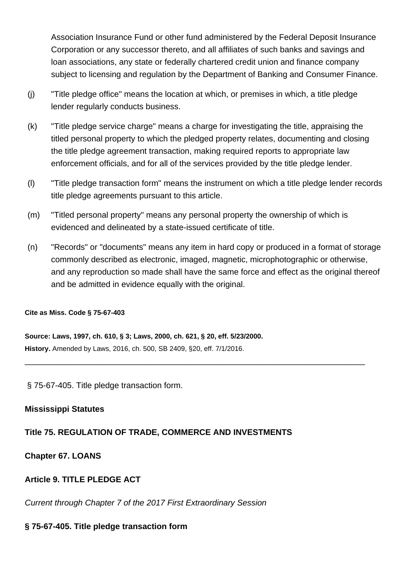Association Insurance Fund or other fund administered by the Federal Deposit Insurance Corporation or any successor thereto, and all affiliates of such banks and savings and loan associations, any state or federally chartered credit union and finance company subject to licensing and regulation by the Department of Banking and Consumer Finance.

- (j) "Title pledge office" means the location at which, or premises in which, a title pledge lender regularly conducts business.
- (k) "Title pledge service charge" means a charge for investigating the title, appraising the titled personal property to which the pledged property relates, documenting and closing the title pledge agreement transaction, making required reports to appropriate law enforcement officials, and for all of the services provided by the title pledge lender.
- (l) "Title pledge transaction form" means the instrument on which a title pledge lender records title pledge agreements pursuant to this article.
- (m) "Titled personal property" means any personal property the ownership of which is evidenced and delineated by a state-issued certificate of title.
- (n) "Records" or "documents" means any item in hard copy or produced in a format of storage commonly described as electronic, imaged, magnetic, microphotographic or otherwise, and any reproduction so made shall have the same force and effect as the original thereof and be admitted in evidence equally with the original.

\_\_\_\_\_\_\_\_\_\_\_\_\_\_\_\_\_\_\_\_\_\_\_\_\_\_\_\_\_\_\_\_\_\_\_\_\_\_\_\_\_\_\_\_\_\_\_\_\_\_\_\_\_\_\_\_\_\_\_\_\_\_\_\_\_\_\_\_\_\_\_\_\_\_

#### **Cite as Miss. Code § 75-67-403**

**Source: Laws, 1997, ch. 610, § 3; Laws, 2000, ch. 621, § 20, eff. 5/23/2000. History.** Amended by Laws, 2016, ch. 500, SB 2409, §20, eff. 7/1/2016.

§ 75-67-405. Title pledge transaction form.

### **Mississippi Statutes**

### **Title 75. REGULATION OF TRADE, COMMERCE AND INVESTMENTS**

**Chapter 67. LOANS**

## **Article 9. TITLE PLEDGE ACT**

Current through Chapter 7 of the 2017 First Extraordinary Session

### **§ 75-67-405. Title pledge transaction form**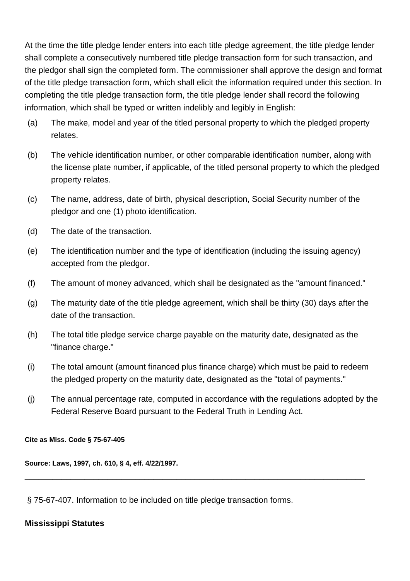At the time the title pledge lender enters into each title pledge agreement, the title pledge lender shall complete a consecutively numbered title pledge transaction form for such transaction, and the pledgor shall sign the completed form. The commissioner shall approve the design and format of the title pledge transaction form, which shall elicit the information required under this section. In completing the title pledge transaction form, the title pledge lender shall record the following information, which shall be typed or written indelibly and legibly in English:

- (a) The make, model and year of the titled personal property to which the pledged property relates.
- (b) The vehicle identification number, or other comparable identification number, along with the license plate number, if applicable, of the titled personal property to which the pledged property relates.
- (c) The name, address, date of birth, physical description, Social Security number of the pledgor and one (1) photo identification.
- (d) The date of the transaction.
- (e) The identification number and the type of identification (including the issuing agency) accepted from the pledgor.
- (f) The amount of money advanced, which shall be designated as the "amount financed."
- (g) The maturity date of the title pledge agreement, which shall be thirty (30) days after the date of the transaction.
- (h) The total title pledge service charge payable on the maturity date, designated as the "finance charge."
- (i) The total amount (amount financed plus finance charge) which must be paid to redeem the pledged property on the maturity date, designated as the "total of payments."
- (j) The annual percentage rate, computed in accordance with the regulations adopted by the Federal Reserve Board pursuant to the Federal Truth in Lending Act.

\_\_\_\_\_\_\_\_\_\_\_\_\_\_\_\_\_\_\_\_\_\_\_\_\_\_\_\_\_\_\_\_\_\_\_\_\_\_\_\_\_\_\_\_\_\_\_\_\_\_\_\_\_\_\_\_\_\_\_\_\_\_\_\_\_\_\_\_\_\_\_\_\_\_

**Cite as Miss. Code § 75-67-405**

**Source: Laws, 1997, ch. 610, § 4, eff. 4/22/1997.**

§ 75-67-407. Information to be included on title pledge transaction forms.

## **Mississippi Statutes**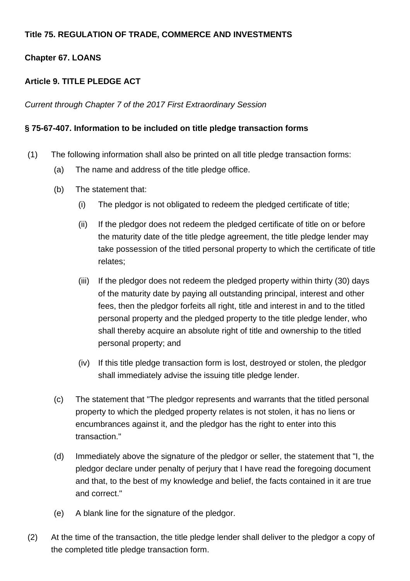## **Title 75. REGULATION OF TRADE, COMMERCE AND INVESTMENTS**

## **Chapter 67. LOANS**

## **Article 9. TITLE PLEDGE ACT**

Current through Chapter 7 of the 2017 First Extraordinary Session

## **§ 75-67-407. Information to be included on title pledge transaction forms**

- (1) The following information shall also be printed on all title pledge transaction forms:
	- (a) The name and address of the title pledge office.
	- (b) The statement that:
		- (i) The pledgor is not obligated to redeem the pledged certificate of title;
		- (ii) If the pledgor does not redeem the pledged certificate of title on or before the maturity date of the title pledge agreement, the title pledge lender may take possession of the titled personal property to which the certificate of title relates;
		- (iii) If the pledgor does not redeem the pledged property within thirty (30) days of the maturity date by paying all outstanding principal, interest and other fees, then the pledgor forfeits all right, title and interest in and to the titled personal property and the pledged property to the title pledge lender, who shall thereby acquire an absolute right of title and ownership to the titled personal property; and
		- (iv) If this title pledge transaction form is lost, destroyed or stolen, the pledgor shall immediately advise the issuing title pledge lender.
	- (c) The statement that "The pledgor represents and warrants that the titled personal property to which the pledged property relates is not stolen, it has no liens or encumbrances against it, and the pledgor has the right to enter into this transaction."
	- (d) Immediately above the signature of the pledgor or seller, the statement that "I, the pledgor declare under penalty of perjury that I have read the foregoing document and that, to the best of my knowledge and belief, the facts contained in it are true and correct."
	- (e) A blank line for the signature of the pledgor.
- (2) At the time of the transaction, the title pledge lender shall deliver to the pledgor a copy of the completed title pledge transaction form.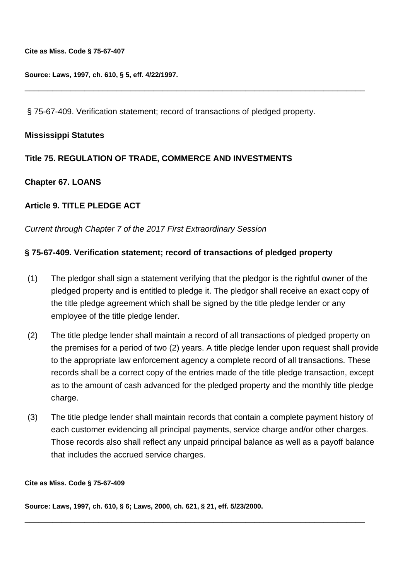**Cite as Miss. Code § 75-67-407**

**Source: Laws, 1997, ch. 610, § 5, eff. 4/22/1997.**

§ 75-67-409. Verification statement; record of transactions of pledged property.

\_\_\_\_\_\_\_\_\_\_\_\_\_\_\_\_\_\_\_\_\_\_\_\_\_\_\_\_\_\_\_\_\_\_\_\_\_\_\_\_\_\_\_\_\_\_\_\_\_\_\_\_\_\_\_\_\_\_\_\_\_\_\_\_\_\_\_\_\_\_\_\_\_\_

#### **Mississippi Statutes**

## **Title 75. REGULATION OF TRADE, COMMERCE AND INVESTMENTS**

### **Chapter 67. LOANS**

## **Article 9. TITLE PLEDGE ACT**

Current through Chapter 7 of the 2017 First Extraordinary Session

## **§ 75-67-409. Verification statement; record of transactions of pledged property**

- (1) The pledgor shall sign a statement verifying that the pledgor is the rightful owner of the pledged property and is entitled to pledge it. The pledgor shall receive an exact copy of the title pledge agreement which shall be signed by the title pledge lender or any employee of the title pledge lender.
- (2) The title pledge lender shall maintain a record of all transactions of pledged property on the premises for a period of two (2) years. A title pledge lender upon request shall provide to the appropriate law enforcement agency a complete record of all transactions. These records shall be a correct copy of the entries made of the title pledge transaction, except as to the amount of cash advanced for the pledged property and the monthly title pledge charge.
- (3) The title pledge lender shall maintain records that contain a complete payment history of each customer evidencing all principal payments, service charge and/or other charges. Those records also shall reflect any unpaid principal balance as well as a payoff balance that includes the accrued service charges.

\_\_\_\_\_\_\_\_\_\_\_\_\_\_\_\_\_\_\_\_\_\_\_\_\_\_\_\_\_\_\_\_\_\_\_\_\_\_\_\_\_\_\_\_\_\_\_\_\_\_\_\_\_\_\_\_\_\_\_\_\_\_\_\_\_\_\_\_\_\_\_\_\_\_

#### **Cite as Miss. Code § 75-67-409**

**Source: Laws, 1997, ch. 610, § 6; Laws, 2000, ch. 621, § 21, eff. 5/23/2000.**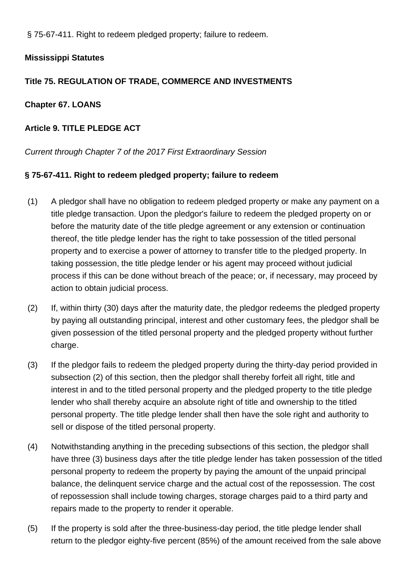§ 75-67-411. Right to redeem pledged property; failure to redeem.

## **Mississippi Statutes**

## **Title 75. REGULATION OF TRADE, COMMERCE AND INVESTMENTS**

## **Chapter 67. LOANS**

## **Article 9. TITLE PLEDGE ACT**

## Current through Chapter 7 of the 2017 First Extraordinary Session

## **§ 75-67-411. Right to redeem pledged property; failure to redeem**

- (1) A pledgor shall have no obligation to redeem pledged property or make any payment on a title pledge transaction. Upon the pledgor's failure to redeem the pledged property on or before the maturity date of the title pledge agreement or any extension or continuation thereof, the title pledge lender has the right to take possession of the titled personal property and to exercise a power of attorney to transfer title to the pledged property. In taking possession, the title pledge lender or his agent may proceed without judicial process if this can be done without breach of the peace; or, if necessary, may proceed by action to obtain judicial process.
- (2) If, within thirty (30) days after the maturity date, the pledgor redeems the pledged property by paying all outstanding principal, interest and other customary fees, the pledgor shall be given possession of the titled personal property and the pledged property without further charge.
- (3) If the pledgor fails to redeem the pledged property during the thirty-day period provided in subsection (2) of this section, then the pledgor shall thereby forfeit all right, title and interest in and to the titled personal property and the pledged property to the title pledge lender who shall thereby acquire an absolute right of title and ownership to the titled personal property. The title pledge lender shall then have the sole right and authority to sell or dispose of the titled personal property.
- (4) Notwithstanding anything in the preceding subsections of this section, the pledgor shall have three (3) business days after the title pledge lender has taken possession of the titled personal property to redeem the property by paying the amount of the unpaid principal balance, the delinquent service charge and the actual cost of the repossession. The cost of repossession shall include towing charges, storage charges paid to a third party and repairs made to the property to render it operable.
- (5) If the property is sold after the three-business-day period, the title pledge lender shall return to the pledgor eighty-five percent (85%) of the amount received from the sale above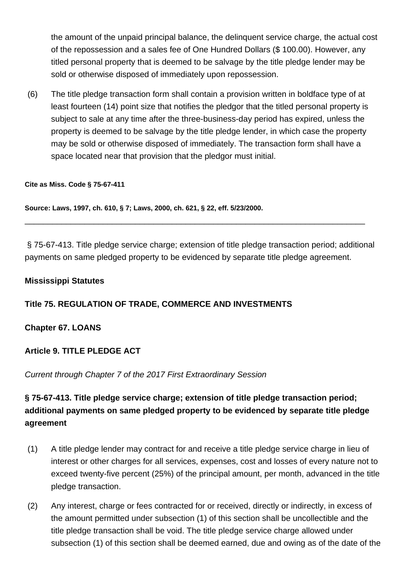the amount of the unpaid principal balance, the delinquent service charge, the actual cost of the repossession and a sales fee of One Hundred Dollars (\$ 100.00). However, any titled personal property that is deemed to be salvage by the title pledge lender may be sold or otherwise disposed of immediately upon repossession.

(6) The title pledge transaction form shall contain a provision written in boldface type of at least fourteen (14) point size that notifies the pledgor that the titled personal property is subject to sale at any time after the three-business-day period has expired, unless the property is deemed to be salvage by the title pledge lender, in which case the property may be sold or otherwise disposed of immediately. The transaction form shall have a space located near that provision that the pledgor must initial.

#### **Cite as Miss. Code § 75-67-411**

**Source: Laws, 1997, ch. 610, § 7; Laws, 2000, ch. 621, § 22, eff. 5/23/2000.**

§ 75-67-413. Title pledge service charge; extension of title pledge transaction period; additional payments on same pledged property to be evidenced by separate title pledge agreement.

\_\_\_\_\_\_\_\_\_\_\_\_\_\_\_\_\_\_\_\_\_\_\_\_\_\_\_\_\_\_\_\_\_\_\_\_\_\_\_\_\_\_\_\_\_\_\_\_\_\_\_\_\_\_\_\_\_\_\_\_\_\_\_\_\_\_\_\_\_\_\_\_\_\_

### **Mississippi Statutes**

## **Title 75. REGULATION OF TRADE, COMMERCE AND INVESTMENTS**

### **Chapter 67. LOANS**

## **Article 9. TITLE PLEDGE ACT**

### Current through Chapter 7 of the 2017 First Extraordinary Session

# **§ 75-67-413. Title pledge service charge; extension of title pledge transaction period; additional payments on same pledged property to be evidenced by separate title pledge agreement**

- (1) A title pledge lender may contract for and receive a title pledge service charge in lieu of interest or other charges for all services, expenses, cost and losses of every nature not to exceed twenty-five percent (25%) of the principal amount, per month, advanced in the title pledge transaction.
- (2) Any interest, charge or fees contracted for or received, directly or indirectly, in excess of the amount permitted under subsection (1) of this section shall be uncollectible and the title pledge transaction shall be void. The title pledge service charge allowed under subsection (1) of this section shall be deemed earned, due and owing as of the date of the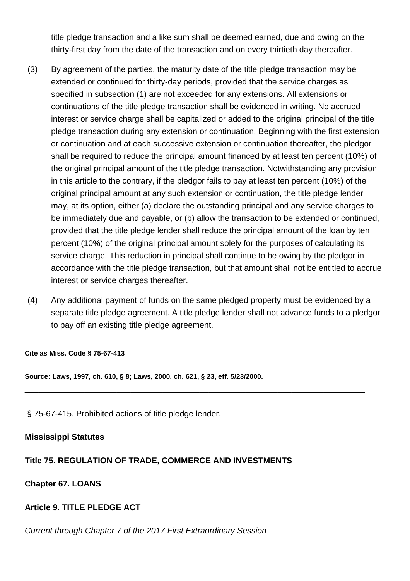title pledge transaction and a like sum shall be deemed earned, due and owing on the thirty-first day from the date of the transaction and on every thirtieth day thereafter.

- (3) By agreement of the parties, the maturity date of the title pledge transaction may be extended or continued for thirty-day periods, provided that the service charges as specified in subsection (1) are not exceeded for any extensions. All extensions or continuations of the title pledge transaction shall be evidenced in writing. No accrued interest or service charge shall be capitalized or added to the original principal of the title pledge transaction during any extension or continuation. Beginning with the first extension or continuation and at each successive extension or continuation thereafter, the pledgor shall be required to reduce the principal amount financed by at least ten percent (10%) of the original principal amount of the title pledge transaction. Notwithstanding any provision in this article to the contrary, if the pledgor fails to pay at least ten percent (10%) of the original principal amount at any such extension or continuation, the title pledge lender may, at its option, either (a) declare the outstanding principal and any service charges to be immediately due and payable, or (b) allow the transaction to be extended or continued, provided that the title pledge lender shall reduce the principal amount of the loan by ten percent (10%) of the original principal amount solely for the purposes of calculating its service charge. This reduction in principal shall continue to be owing by the pledgor in accordance with the title pledge transaction, but that amount shall not be entitled to accrue interest or service charges thereafter.
- (4) Any additional payment of funds on the same pledged property must be evidenced by a separate title pledge agreement. A title pledge lender shall not advance funds to a pledgor to pay off an existing title pledge agreement.

\_\_\_\_\_\_\_\_\_\_\_\_\_\_\_\_\_\_\_\_\_\_\_\_\_\_\_\_\_\_\_\_\_\_\_\_\_\_\_\_\_\_\_\_\_\_\_\_\_\_\_\_\_\_\_\_\_\_\_\_\_\_\_\_\_\_\_\_\_\_\_\_\_\_

**Cite as Miss. Code § 75-67-413**

**Source: Laws, 1997, ch. 610, § 8; Laws, 2000, ch. 621, § 23, eff. 5/23/2000.**

§ 75-67-415. Prohibited actions of title pledge lender.

### **Mississippi Statutes**

### **Title 75. REGULATION OF TRADE, COMMERCE AND INVESTMENTS**

### **Chapter 67. LOANS**

### **Article 9. TITLE PLEDGE ACT**

Current through Chapter 7 of the 2017 First Extraordinary Session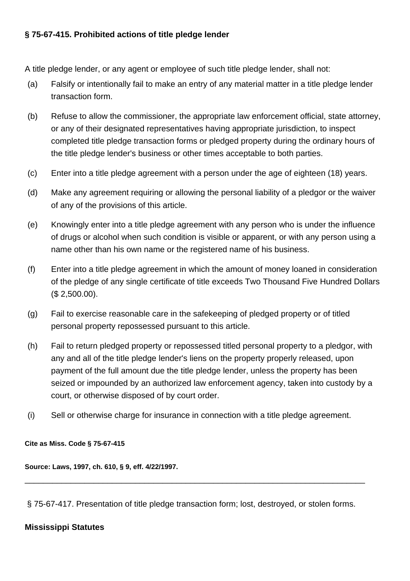## **§ 75-67-415. Prohibited actions of title pledge lender**

A title pledge lender, or any agent or employee of such title pledge lender, shall not:

- (a) Falsify or intentionally fail to make an entry of any material matter in a title pledge lender transaction form.
- (b) Refuse to allow the commissioner, the appropriate law enforcement official, state attorney, or any of their designated representatives having appropriate jurisdiction, to inspect completed title pledge transaction forms or pledged property during the ordinary hours of the title pledge lender's business or other times acceptable to both parties.
- (c) Enter into a title pledge agreement with a person under the age of eighteen (18) years.
- (d) Make any agreement requiring or allowing the personal liability of a pledgor or the waiver of any of the provisions of this article.
- (e) Knowingly enter into a title pledge agreement with any person who is under the influence of drugs or alcohol when such condition is visible or apparent, or with any person using a name other than his own name or the registered name of his business.
- (f) Enter into a title pledge agreement in which the amount of money loaned in consideration of the pledge of any single certificate of title exceeds Two Thousand Five Hundred Dollars (\$ 2,500.00).
- (g) Fail to exercise reasonable care in the safekeeping of pledged property or of titled personal property repossessed pursuant to this article.
- (h) Fail to return pledged property or repossessed titled personal property to a pledgor, with any and all of the title pledge lender's liens on the property properly released, upon payment of the full amount due the title pledge lender, unless the property has been seized or impounded by an authorized law enforcement agency, taken into custody by a court, or otherwise disposed of by court order.
- (i) Sell or otherwise charge for insurance in connection with a title pledge agreement.

### **Cite as Miss. Code § 75-67-415**

**Source: Laws, 1997, ch. 610, § 9, eff. 4/22/1997.**

§ 75-67-417. Presentation of title pledge transaction form; lost, destroved, or stolen forms.

\_\_\_\_\_\_\_\_\_\_\_\_\_\_\_\_\_\_\_\_\_\_\_\_\_\_\_\_\_\_\_\_\_\_\_\_\_\_\_\_\_\_\_\_\_\_\_\_\_\_\_\_\_\_\_\_\_\_\_\_\_\_\_\_\_\_\_\_\_\_\_\_\_\_

## **Mississippi Statutes**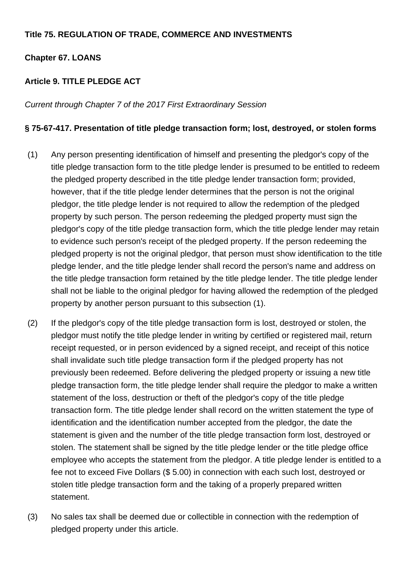## **Title 75. REGULATION OF TRADE, COMMERCE AND INVESTMENTS**

## **Chapter 67. LOANS**

## **Article 9. TITLE PLEDGE ACT**

Current through Chapter 7 of the 2017 First Extraordinary Session

### **§ 75-67-417. Presentation of title pledge transaction form; lost, destroyed, or stolen forms**

- (1) Any person presenting identification of himself and presenting the pledgor's copy of the title pledge transaction form to the title pledge lender is presumed to be entitled to redeem the pledged property described in the title pledge lender transaction form; provided, however, that if the title pledge lender determines that the person is not the original pledgor, the title pledge lender is not required to allow the redemption of the pledged property by such person. The person redeeming the pledged property must sign the pledgor's copy of the title pledge transaction form, which the title pledge lender may retain to evidence such person's receipt of the pledged property. If the person redeeming the pledged property is not the original pledgor, that person must show identification to the title pledge lender, and the title pledge lender shall record the person's name and address on the title pledge transaction form retained by the title pledge lender. The title pledge lender shall not be liable to the original pledgor for having allowed the redemption of the pledged property by another person pursuant to this subsection (1).
- (2) If the pledgor's copy of the title pledge transaction form is lost, destroyed or stolen, the pledgor must notify the title pledge lender in writing by certified or registered mail, return receipt requested, or in person evidenced by a signed receipt, and receipt of this notice shall invalidate such title pledge transaction form if the pledged property has not previously been redeemed. Before delivering the pledged property or issuing a new title pledge transaction form, the title pledge lender shall require the pledgor to make a written statement of the loss, destruction or theft of the pledgor's copy of the title pledge transaction form. The title pledge lender shall record on the written statement the type of identification and the identification number accepted from the pledgor, the date the statement is given and the number of the title pledge transaction form lost, destroyed or stolen. The statement shall be signed by the title pledge lender or the title pledge office employee who accepts the statement from the pledgor. A title pledge lender is entitled to a fee not to exceed Five Dollars (\$ 5.00) in connection with each such lost, destroyed or stolen title pledge transaction form and the taking of a properly prepared written statement.
- (3) No sales tax shall be deemed due or collectible in connection with the redemption of pledged property under this article.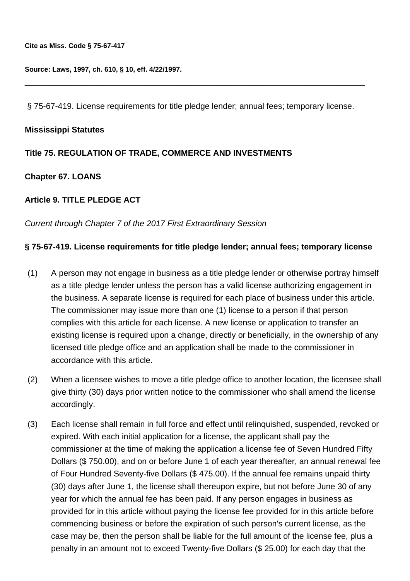**Source: Laws, 1997, ch. 610, § 10, eff. 4/22/1997.**

§ 75-67-419. License requirements for title pledge lender; annual fees; temporary license.

\_\_\_\_\_\_\_\_\_\_\_\_\_\_\_\_\_\_\_\_\_\_\_\_\_\_\_\_\_\_\_\_\_\_\_\_\_\_\_\_\_\_\_\_\_\_\_\_\_\_\_\_\_\_\_\_\_\_\_\_\_\_\_\_\_\_\_\_\_\_\_\_\_\_

#### **Mississippi Statutes**

### **Title 75. REGULATION OF TRADE, COMMERCE AND INVESTMENTS**

### **Chapter 67. LOANS**

### **Article 9. TITLE PLEDGE ACT**

Current through Chapter 7 of the 2017 First Extraordinary Session

#### **§ 75-67-419. License requirements for title pledge lender; annual fees; temporary license**

- (1) A person may not engage in business as a title pledge lender or otherwise portray himself as a title pledge lender unless the person has a valid license authorizing engagement in the business. A separate license is required for each place of business under this article. The commissioner may issue more than one (1) license to a person if that person complies with this article for each license. A new license or application to transfer an existing license is required upon a change, directly or beneficially, in the ownership of any licensed title pledge office and an application shall be made to the commissioner in accordance with this article.
- (2) When a licensee wishes to move a title pledge office to another location, the licensee shall give thirty (30) days prior written notice to the commissioner who shall amend the license accordingly.
- (3) Each license shall remain in full force and effect until relinquished, suspended, revoked or expired. With each initial application for a license, the applicant shall pay the commissioner at the time of making the application a license fee of Seven Hundred Fifty Dollars (\$ 750.00), and on or before June 1 of each year thereafter, an annual renewal fee of Four Hundred Seventy-five Dollars (\$ 475.00). If the annual fee remains unpaid thirty (30) days after June 1, the license shall thereupon expire, but not before June 30 of any year for which the annual fee has been paid. If any person engages in business as provided for in this article without paying the license fee provided for in this article before commencing business or before the expiration of such person's current license, as the case may be, then the person shall be liable for the full amount of the license fee, plus a penalty in an amount not to exceed Twenty-five Dollars (\$ 25.00) for each day that the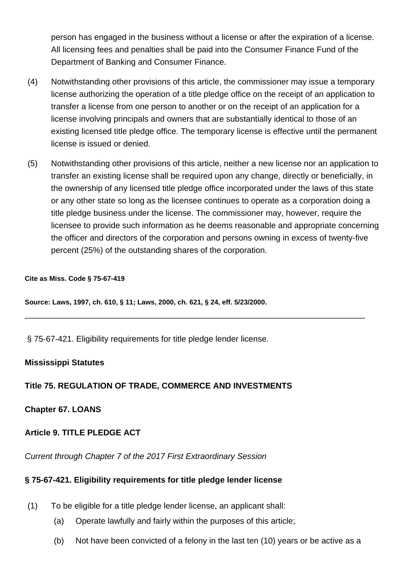person has engaged in the business without a license or after the expiration of a license. All licensing fees and penalties shall be paid into the Consumer Finance Fund of the Department of Banking and Consumer Finance.

- (4) Notwithstanding other provisions of this article, the commissioner may issue a temporary license authorizing the operation of a title pledge office on the receipt of an application to transfer a license from one person to another or on the receipt of an application for a license involving principals and owners that are substantially identical to those of an existing licensed title pledge office. The temporary license is effective until the permanent license is issued or denied.
- (5) Notwithstanding other provisions of this article, neither a new license nor an application to transfer an existing license shall be required upon any change, directly or beneficially, in the ownership of any licensed title pledge office incorporated under the laws of this state or any other state so long as the licensee continues to operate as a corporation doing a title pledge business under the license. The commissioner may, however, require the licensee to provide such information as he deems reasonable and appropriate concerning the officer and directors of the corporation and persons owning in excess of twenty-five percent (25%) of the outstanding shares of the corporation.

\_\_\_\_\_\_\_\_\_\_\_\_\_\_\_\_\_\_\_\_\_\_\_\_\_\_\_\_\_\_\_\_\_\_\_\_\_\_\_\_\_\_\_\_\_\_\_\_\_\_\_\_\_\_\_\_\_\_\_\_\_\_\_\_\_\_\_\_\_\_\_\_\_\_

#### **Cite as Miss. Code § 75-67-419**

**Source: Laws, 1997, ch. 610, § 11; Laws, 2000, ch. 621, § 24, eff. 5/23/2000.**

§ 75-67-421. Eligibility requirements for title pledge lender license.

### **Mississippi Statutes**

## **Title 75. REGULATION OF TRADE, COMMERCE AND INVESTMENTS**

**Chapter 67. LOANS**

## **Article 9. TITLE PLEDGE ACT**

Current through Chapter 7 of the 2017 First Extraordinary Session

## **§ 75-67-421. Eligibility requirements for title pledge lender license**

- (1) To be eligible for a title pledge lender license, an applicant shall:
	- (a) Operate lawfully and fairly within the purposes of this article;
	- (b) Not have been convicted of a felony in the last ten (10) years or be active as a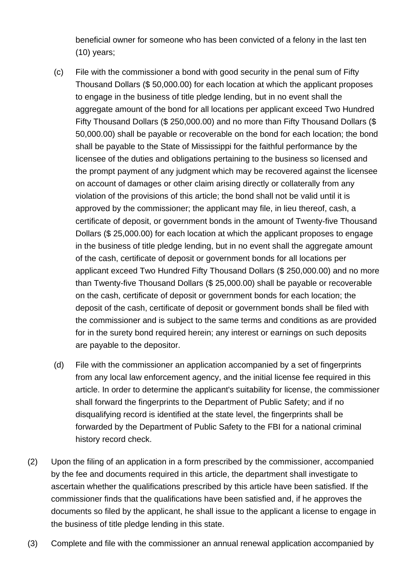beneficial owner for someone who has been convicted of a felony in the last ten (10) years;

- (c) File with the commissioner a bond with good security in the penal sum of Fifty Thousand Dollars (\$ 50,000.00) for each location at which the applicant proposes to engage in the business of title pledge lending, but in no event shall the aggregate amount of the bond for all locations per applicant exceed Two Hundred Fifty Thousand Dollars (\$ 250,000.00) and no more than Fifty Thousand Dollars (\$ 50,000.00) shall be payable or recoverable on the bond for each location; the bond shall be payable to the State of Mississippi for the faithful performance by the licensee of the duties and obligations pertaining to the business so licensed and the prompt payment of any judgment which may be recovered against the licensee on account of damages or other claim arising directly or collaterally from any violation of the provisions of this article; the bond shall not be valid until it is approved by the commissioner; the applicant may file, in lieu thereof, cash, a certificate of deposit, or government bonds in the amount of Twenty-five Thousand Dollars (\$ 25,000.00) for each location at which the applicant proposes to engage in the business of title pledge lending, but in no event shall the aggregate amount of the cash, certificate of deposit or government bonds for all locations per applicant exceed Two Hundred Fifty Thousand Dollars (\$ 250,000.00) and no more than Twenty-five Thousand Dollars (\$ 25,000.00) shall be payable or recoverable on the cash, certificate of deposit or government bonds for each location; the deposit of the cash, certificate of deposit or government bonds shall be filed with the commissioner and is subject to the same terms and conditions as are provided for in the surety bond required herein; any interest or earnings on such deposits are payable to the depositor.
- (d) File with the commissioner an application accompanied by a set of fingerprints from any local law enforcement agency, and the initial license fee required in this article. In order to determine the applicant's suitability for license, the commissioner shall forward the fingerprints to the Department of Public Safety; and if no disqualifying record is identified at the state level, the fingerprints shall be forwarded by the Department of Public Safety to the FBI for a national criminal history record check.
- (2) Upon the filing of an application in a form prescribed by the commissioner, accompanied by the fee and documents required in this article, the department shall investigate to ascertain whether the qualifications prescribed by this article have been satisfied. If the commissioner finds that the qualifications have been satisfied and, if he approves the documents so filed by the applicant, he shall issue to the applicant a license to engage in the business of title pledge lending in this state.
- (3) Complete and file with the commissioner an annual renewal application accompanied by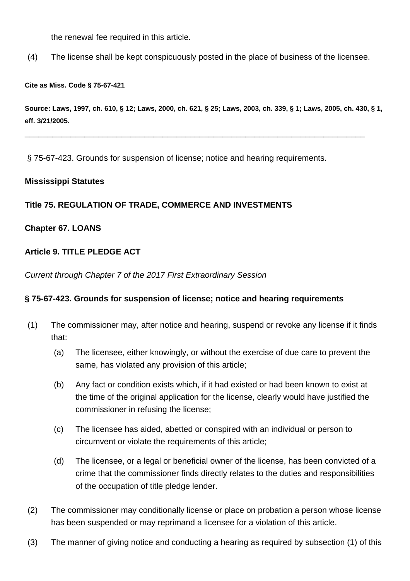the renewal fee required in this article.

(4) The license shall be kept conspicuously posted in the place of business of the licensee.

#### **Cite as Miss. Code § 75-67-421**

**Source: Laws, 1997, ch. 610, § 12; Laws, 2000, ch. 621, § 25; Laws, 2003, ch. 339, § 1; Laws, 2005, ch. 430, § 1, eff. 3/21/2005.**

\_\_\_\_\_\_\_\_\_\_\_\_\_\_\_\_\_\_\_\_\_\_\_\_\_\_\_\_\_\_\_\_\_\_\_\_\_\_\_\_\_\_\_\_\_\_\_\_\_\_\_\_\_\_\_\_\_\_\_\_\_\_\_\_\_\_\_\_\_\_\_\_\_\_

§ 75-67-423. Grounds for suspension of license; notice and hearing requirements.

#### **Mississippi Statutes**

### **Title 75. REGULATION OF TRADE, COMMERCE AND INVESTMENTS**

### **Chapter 67. LOANS**

### **Article 9. TITLE PLEDGE ACT**

Current through Chapter 7 of the 2017 First Extraordinary Session

### **§ 75-67-423. Grounds for suspension of license; notice and hearing requirements**

- (1) The commissioner may, after notice and hearing, suspend or revoke any license if it finds that:
	- (a) The licensee, either knowingly, or without the exercise of due care to prevent the same, has violated any provision of this article;
	- (b) Any fact or condition exists which, if it had existed or had been known to exist at the time of the original application for the license, clearly would have justified the commissioner in refusing the license;
	- (c) The licensee has aided, abetted or conspired with an individual or person to circumvent or violate the requirements of this article;
	- (d) The licensee, or a legal or beneficial owner of the license, has been convicted of a crime that the commissioner finds directly relates to the duties and responsibilities of the occupation of title pledge lender.
- (2) The commissioner may conditionally license or place on probation a person whose license has been suspended or may reprimand a licensee for a violation of this article.
- (3) The manner of giving notice and conducting a hearing as required by subsection (1) of this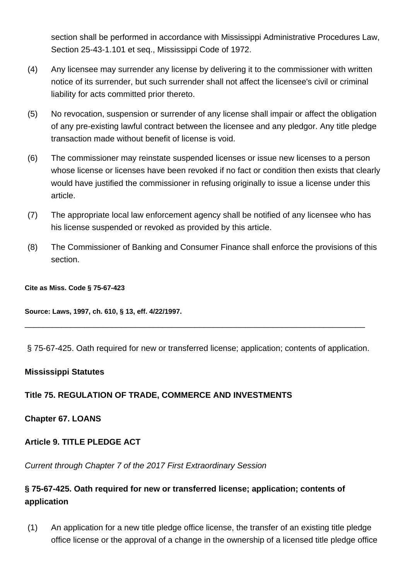section shall be performed in accordance with Mississippi Administrative Procedures Law, Section 25-43-1.101 et seq., Mississippi Code of 1972.

- (4) Any licensee may surrender any license by delivering it to the commissioner with written notice of its surrender, but such surrender shall not affect the licensee's civil or criminal liability for acts committed prior thereto.
- (5) No revocation, suspension or surrender of any license shall impair or affect the obligation of any pre-existing lawful contract between the licensee and any pledgor. Any title pledge transaction made without benefit of license is void.
- (6) The commissioner may reinstate suspended licenses or issue new licenses to a person whose license or licenses have been revoked if no fact or condition then exists that clearly would have justified the commissioner in refusing originally to issue a license under this article.
- (7) The appropriate local law enforcement agency shall be notified of any licensee who has his license suspended or revoked as provided by this article.
- (8) The Commissioner of Banking and Consumer Finance shall enforce the provisions of this section.

#### **Cite as Miss. Code § 75-67-423**

**Source: Laws, 1997, ch. 610, § 13, eff. 4/22/1997.**

§ 75-67-425. Oath required for new or transferred license; application; contents of application.

\_\_\_\_\_\_\_\_\_\_\_\_\_\_\_\_\_\_\_\_\_\_\_\_\_\_\_\_\_\_\_\_\_\_\_\_\_\_\_\_\_\_\_\_\_\_\_\_\_\_\_\_\_\_\_\_\_\_\_\_\_\_\_\_\_\_\_\_\_\_\_\_\_\_

### **Mississippi Statutes**

## **Title 75. REGULATION OF TRADE, COMMERCE AND INVESTMENTS**

## **Chapter 67. LOANS**

## **Article 9. TITLE PLEDGE ACT**

Current through Chapter 7 of the 2017 First Extraordinary Session

## **§ 75-67-425. Oath required for new or transferred license; application; contents of application**

(1) An application for a new title pledge office license, the transfer of an existing title pledge office license or the approval of a change in the ownership of a licensed title pledge office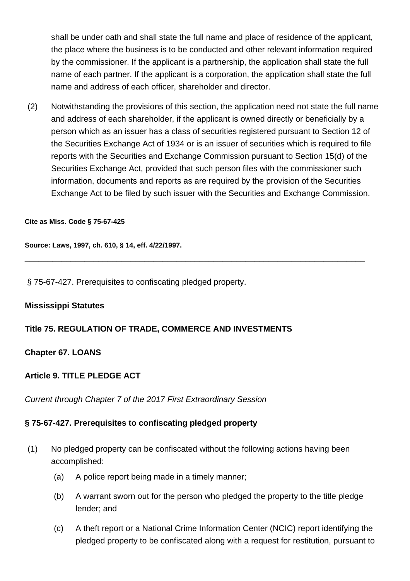shall be under oath and shall state the full name and place of residence of the applicant, the place where the business is to be conducted and other relevant information required by the commissioner. If the applicant is a partnership, the application shall state the full name of each partner. If the applicant is a corporation, the application shall state the full name and address of each officer, shareholder and director.

(2) Notwithstanding the provisions of this section, the application need not state the full name and address of each shareholder, if the applicant is owned directly or beneficially by a person which as an issuer has a class of securities registered pursuant to Section 12 of the Securities Exchange Act of 1934 or is an issuer of securities which is required to file reports with the Securities and Exchange Commission pursuant to Section 15(d) of the Securities Exchange Act, provided that such person files with the commissioner such information, documents and reports as are required by the provision of the Securities Exchange Act to be filed by such issuer with the Securities and Exchange Commission.

\_\_\_\_\_\_\_\_\_\_\_\_\_\_\_\_\_\_\_\_\_\_\_\_\_\_\_\_\_\_\_\_\_\_\_\_\_\_\_\_\_\_\_\_\_\_\_\_\_\_\_\_\_\_\_\_\_\_\_\_\_\_\_\_\_\_\_\_\_\_\_\_\_\_

#### **Cite as Miss. Code § 75-67-425**

**Source: Laws, 1997, ch. 610, § 14, eff. 4/22/1997.**

§ 75-67-427. Prerequisites to confiscating pledged property.

#### **Mississippi Statutes**

### **Title 75. REGULATION OF TRADE, COMMERCE AND INVESTMENTS**

### **Chapter 67. LOANS**

### **Article 9. TITLE PLEDGE ACT**

Current through Chapter 7 of the 2017 First Extraordinary Session

### **§ 75-67-427. Prerequisites to confiscating pledged property**

- (1) No pledged property can be confiscated without the following actions having been accomplished:
	- (a) A police report being made in a timely manner;
	- (b) A warrant sworn out for the person who pledged the property to the title pledge lender; and
	- (c) A theft report or a National Crime Information Center (NCIC) report identifying the pledged property to be confiscated along with a request for restitution, pursuant to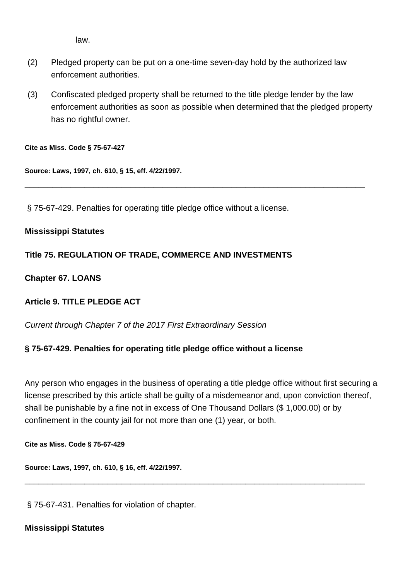law.

- (2) Pledged property can be put on a one-time seven-day hold by the authorized law enforcement authorities.
- (3) Confiscated pledged property shall be returned to the title pledge lender by the law enforcement authorities as soon as possible when determined that the pledged property has no rightful owner.

\_\_\_\_\_\_\_\_\_\_\_\_\_\_\_\_\_\_\_\_\_\_\_\_\_\_\_\_\_\_\_\_\_\_\_\_\_\_\_\_\_\_\_\_\_\_\_\_\_\_\_\_\_\_\_\_\_\_\_\_\_\_\_\_\_\_\_\_\_\_\_\_\_\_

**Cite as Miss. Code § 75-67-427**

**Source: Laws, 1997, ch. 610, § 15, eff. 4/22/1997.**

§ 75-67-429. Penalties for operating title pledge office without a license.

## **Mississippi Statutes**

## **Title 75. REGULATION OF TRADE, COMMERCE AND INVESTMENTS**

## **Chapter 67. LOANS**

## **Article 9. TITLE PLEDGE ACT**

Current through Chapter 7 of the 2017 First Extraordinary Session

## **§ 75-67-429. Penalties for operating title pledge office without a license**

Any person who engages in the business of operating a title pledge office without first securing a license prescribed by this article shall be guilty of a misdemeanor and, upon conviction thereof, shall be punishable by a fine not in excess of One Thousand Dollars (\$ 1,000.00) or by confinement in the county jail for not more than one (1) year, or both.

\_\_\_\_\_\_\_\_\_\_\_\_\_\_\_\_\_\_\_\_\_\_\_\_\_\_\_\_\_\_\_\_\_\_\_\_\_\_\_\_\_\_\_\_\_\_\_\_\_\_\_\_\_\_\_\_\_\_\_\_\_\_\_\_\_\_\_\_\_\_\_\_\_\_

**Cite as Miss. Code § 75-67-429**

**Source: Laws, 1997, ch. 610, § 16, eff. 4/22/1997.**

§ 75-67-431. Penalties for violation of chapter.

## **Mississippi Statutes**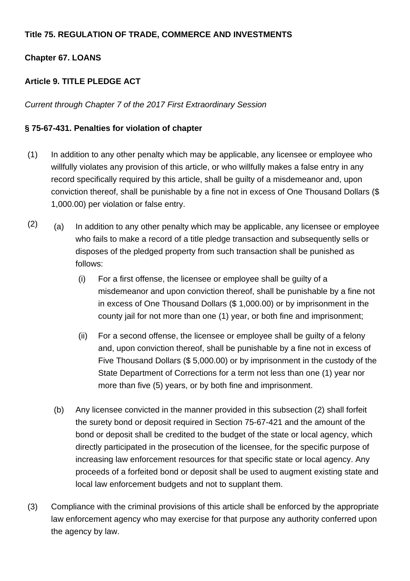## **Title 75. REGULATION OF TRADE, COMMERCE AND INVESTMENTS**

## **Chapter 67. LOANS**

## **Article 9. TITLE PLEDGE ACT**

Current through Chapter 7 of the 2017 First Extraordinary Session

## **§ 75-67-431. Penalties for violation of chapter**

- (1) In addition to any other penalty which may be applicable, any licensee or employee who willfully violates any provision of this article, or who willfully makes a false entry in any record specifically required by this article, shall be guilty of a misdemeanor and, upon conviction thereof, shall be punishable by a fine not in excess of One Thousand Dollars (\$ 1,000.00) per violation or false entry.
- $(2)$  (a) In addition to any other penalty which may be applicable, any licensee or employee who fails to make a record of a title pledge transaction and subsequently sells or disposes of the pledged property from such transaction shall be punished as follows:
	- (i) For a first offense, the licensee or employee shall be guilty of a misdemeanor and upon conviction thereof, shall be punishable by a fine not in excess of One Thousand Dollars (\$ 1,000.00) or by imprisonment in the county jail for not more than one (1) year, or both fine and imprisonment;
	- (ii) For a second offense, the licensee or employee shall be guilty of a felony and, upon conviction thereof, shall be punishable by a fine not in excess of Five Thousand Dollars (\$ 5,000.00) or by imprisonment in the custody of the State Department of Corrections for a term not less than one (1) year nor more than five (5) years, or by both fine and imprisonment.
	- (b) Any licensee convicted in the manner provided in this subsection (2) shall forfeit the surety bond or deposit required in Section 75-67-421 and the amount of the bond or deposit shall be credited to the budget of the state or local agency, which directly participated in the prosecution of the licensee, for the specific purpose of increasing law enforcement resources for that specific state or local agency. Any proceeds of a forfeited bond or deposit shall be used to augment existing state and local law enforcement budgets and not to supplant them.
- (3) Compliance with the criminal provisions of this article shall be enforced by the appropriate law enforcement agency who may exercise for that purpose any authority conferred upon the agency by law.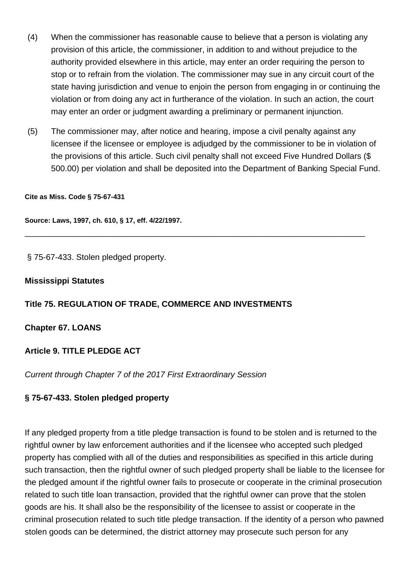- (4) When the commissioner has reasonable cause to believe that a person is violating any provision of this article, the commissioner, in addition to and without prejudice to the authority provided elsewhere in this article, may enter an order requiring the person to stop or to refrain from the violation. The commissioner may sue in any circuit court of the state having jurisdiction and venue to enjoin the person from engaging in or continuing the violation or from doing any act in furtherance of the violation. In such an action, the court may enter an order or judgment awarding a preliminary or permanent injunction.
- (5) The commissioner may, after notice and hearing, impose a civil penalty against any licensee if the licensee or employee is adjudged by the commissioner to be in violation of the provisions of this article. Such civil penalty shall not exceed Five Hundred Dollars (\$ 500.00) per violation and shall be deposited into the Department of Banking Special Fund.

\_\_\_\_\_\_\_\_\_\_\_\_\_\_\_\_\_\_\_\_\_\_\_\_\_\_\_\_\_\_\_\_\_\_\_\_\_\_\_\_\_\_\_\_\_\_\_\_\_\_\_\_\_\_\_\_\_\_\_\_\_\_\_\_\_\_\_\_\_\_\_\_\_\_

#### **Cite as Miss. Code § 75-67-431**

**Source: Laws, 1997, ch. 610, § 17, eff. 4/22/1997.**

§ 75-67-433. Stolen pledged property.

#### **Mississippi Statutes**

### **Title 75. REGULATION OF TRADE, COMMERCE AND INVESTMENTS**

#### **Chapter 67. LOANS**

### **Article 9. TITLE PLEDGE ACT**

Current through Chapter 7 of the 2017 First Extraordinary Session

### **§ 75-67-433. Stolen pledged property**

If any pledged property from a title pledge transaction is found to be stolen and is returned to the rightful owner by law enforcement authorities and if the licensee who accepted such pledged property has complied with all of the duties and responsibilities as specified in this article during such transaction, then the rightful owner of such pledged property shall be liable to the licensee for the pledged amount if the rightful owner fails to prosecute or cooperate in the criminal prosecution related to such title loan transaction, provided that the rightful owner can prove that the stolen goods are his. It shall also be the responsibility of the licensee to assist or cooperate in the criminal prosecution related to such title pledge transaction. If the identity of a person who pawned stolen goods can be determined, the district attorney may prosecute such person for any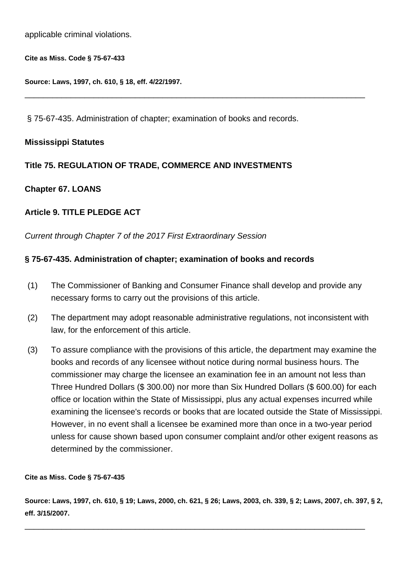applicable criminal violations.

**Cite as Miss. Code § 75-67-433**

**Source: Laws, 1997, ch. 610, § 18, eff. 4/22/1997.**

§ 75-67-435. Administration of chapter; examination of books and records.

\_\_\_\_\_\_\_\_\_\_\_\_\_\_\_\_\_\_\_\_\_\_\_\_\_\_\_\_\_\_\_\_\_\_\_\_\_\_\_\_\_\_\_\_\_\_\_\_\_\_\_\_\_\_\_\_\_\_\_\_\_\_\_\_\_\_\_\_\_\_\_\_\_\_

## **Mississippi Statutes**

## **Title 75. REGULATION OF TRADE, COMMERCE AND INVESTMENTS**

## **Chapter 67. LOANS**

## **Article 9. TITLE PLEDGE ACT**

Current through Chapter 7 of the 2017 First Extraordinary Session

## **§ 75-67-435. Administration of chapter; examination of books and records**

- (1) The Commissioner of Banking and Consumer Finance shall develop and provide any necessary forms to carry out the provisions of this article.
- (2) The department may adopt reasonable administrative regulations, not inconsistent with law, for the enforcement of this article.
- (3) To assure compliance with the provisions of this article, the department may examine the books and records of any licensee without notice during normal business hours. The commissioner may charge the licensee an examination fee in an amount not less than Three Hundred Dollars (\$ 300.00) nor more than Six Hundred Dollars (\$ 600.00) for each office or location within the State of Mississippi, plus any actual expenses incurred while examining the licensee's records or books that are located outside the State of Mississippi. However, in no event shall a licensee be examined more than once in a two-year period unless for cause shown based upon consumer complaint and/or other exigent reasons as determined by the commissioner.

#### **Cite as Miss. Code § 75-67-435**

**Source: Laws, 1997, ch. 610, § 19; Laws, 2000, ch. 621, § 26; Laws, 2003, ch. 339, § 2; Laws, 2007, ch. 397, § 2, eff. 3/15/2007.**

\_\_\_\_\_\_\_\_\_\_\_\_\_\_\_\_\_\_\_\_\_\_\_\_\_\_\_\_\_\_\_\_\_\_\_\_\_\_\_\_\_\_\_\_\_\_\_\_\_\_\_\_\_\_\_\_\_\_\_\_\_\_\_\_\_\_\_\_\_\_\_\_\_\_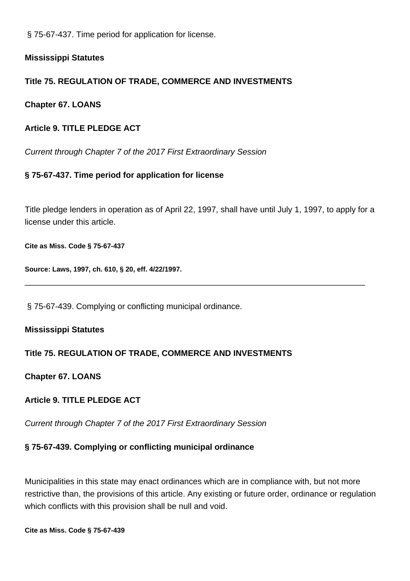§ 75-67-437. Time period for application for license.

**Mississippi Statutes**

## **Title 75. REGULATION OF TRADE, COMMERCE AND INVESTMENTS**

**Chapter 67. LOANS**

## **Article 9. TITLE PLEDGE ACT**

Current through Chapter 7 of the 2017 First Extraordinary Session

## **§ 75-67-437. Time period for application for license**

Title pledge lenders in operation as of April 22, 1997, shall have until July 1, 1997, to apply for a license under this article.

\_\_\_\_\_\_\_\_\_\_\_\_\_\_\_\_\_\_\_\_\_\_\_\_\_\_\_\_\_\_\_\_\_\_\_\_\_\_\_\_\_\_\_\_\_\_\_\_\_\_\_\_\_\_\_\_\_\_\_\_\_\_\_\_\_\_\_\_\_\_\_\_\_\_

**Cite as Miss. Code § 75-67-437**

**Source: Laws, 1997, ch. 610, § 20, eff. 4/22/1997.**

§ 75-67-439. Complying or conflicting municipal ordinance.

## **Mississippi Statutes**

## **Title 75. REGULATION OF TRADE, COMMERCE AND INVESTMENTS**

## **Chapter 67. LOANS**

## **Article 9. TITLE PLEDGE ACT**

Current through Chapter 7 of the 2017 First Extraordinary Session

## **§ 75-67-439. Complying or conflicting municipal ordinance**

Municipalities in this state may enact ordinances which are in compliance with, but not more restrictive than, the provisions of this article. Any existing or future order, ordinance or regulation which conflicts with this provision shall be null and void.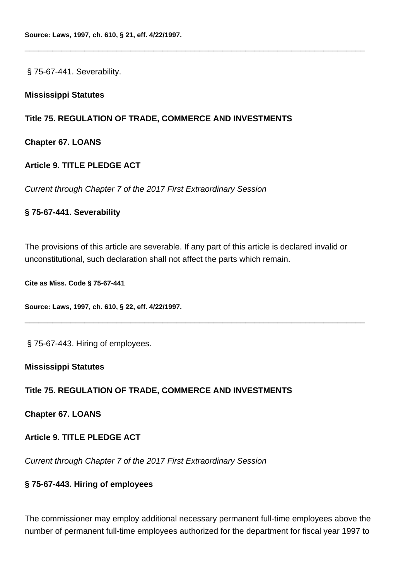§ 75-67-441. Severability.

#### **Mississippi Statutes**

### **Title 75. REGULATION OF TRADE, COMMERCE AND INVESTMENTS**

**Chapter 67. LOANS**

### **Article 9. TITLE PLEDGE ACT**

Current through Chapter 7 of the 2017 First Extraordinary Session

#### **§ 75-67-441. Severability**

The provisions of this article are severable. If any part of this article is declared invalid or unconstitutional, such declaration shall not affect the parts which remain.

\_\_\_\_\_\_\_\_\_\_\_\_\_\_\_\_\_\_\_\_\_\_\_\_\_\_\_\_\_\_\_\_\_\_\_\_\_\_\_\_\_\_\_\_\_\_\_\_\_\_\_\_\_\_\_\_\_\_\_\_\_\_\_\_\_\_\_\_\_\_\_\_\_\_

\_\_\_\_\_\_\_\_\_\_\_\_\_\_\_\_\_\_\_\_\_\_\_\_\_\_\_\_\_\_\_\_\_\_\_\_\_\_\_\_\_\_\_\_\_\_\_\_\_\_\_\_\_\_\_\_\_\_\_\_\_\_\_\_\_\_\_\_\_\_\_\_\_\_

**Cite as Miss. Code § 75-67-441**

**Source: Laws, 1997, ch. 610, § 22, eff. 4/22/1997.**

§ 75-67-443. Hiring of employees.

#### **Mississippi Statutes**

## **Title 75. REGULATION OF TRADE, COMMERCE AND INVESTMENTS**

**Chapter 67. LOANS**

**Article 9. TITLE PLEDGE ACT**

Current through Chapter 7 of the 2017 First Extraordinary Session

### **§ 75-67-443. Hiring of employees**

The commissioner may employ additional necessary permanent full-time employees above the number of permanent full-time employees authorized for the department for fiscal year 1997 to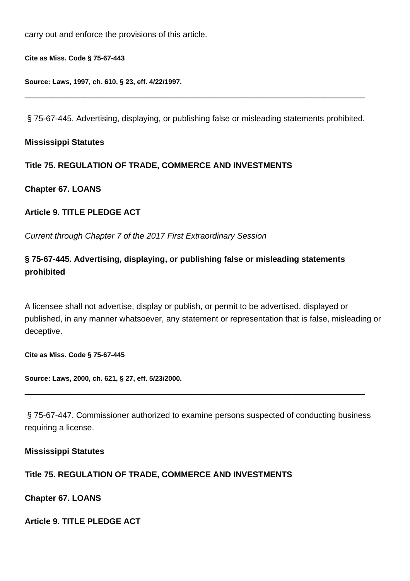carry out and enforce the provisions of this article.

**Cite as Miss. Code § 75-67-443**

**Source: Laws, 1997, ch. 610, § 23, eff. 4/22/1997.**

§ 75-67-445. Advertising, displaying, or publishing false or misleading statements prohibited.

\_\_\_\_\_\_\_\_\_\_\_\_\_\_\_\_\_\_\_\_\_\_\_\_\_\_\_\_\_\_\_\_\_\_\_\_\_\_\_\_\_\_\_\_\_\_\_\_\_\_\_\_\_\_\_\_\_\_\_\_\_\_\_\_\_\_\_\_\_\_\_\_\_\_

### **Mississippi Statutes**

**Title 75. REGULATION OF TRADE, COMMERCE AND INVESTMENTS**

**Chapter 67. LOANS**

#### **Article 9. TITLE PLEDGE ACT**

Current through Chapter 7 of the 2017 First Extraordinary Session

## **§ 75-67-445. Advertising, displaying, or publishing false or misleading statements prohibited**

A licensee shall not advertise, display or publish, or permit to be advertised, displayed or published, in any manner whatsoever, any statement or representation that is false, misleading or deceptive.

**Cite as Miss. Code § 75-67-445**

**Source: Laws, 2000, ch. 621, § 27, eff. 5/23/2000.**

§ 75-67-447. Commissioner authorized to examine persons suspected of conducting business requiring a license.

\_\_\_\_\_\_\_\_\_\_\_\_\_\_\_\_\_\_\_\_\_\_\_\_\_\_\_\_\_\_\_\_\_\_\_\_\_\_\_\_\_\_\_\_\_\_\_\_\_\_\_\_\_\_\_\_\_\_\_\_\_\_\_\_\_\_\_\_\_\_\_\_\_\_

#### **Mississippi Statutes**

### **Title 75. REGULATION OF TRADE, COMMERCE AND INVESTMENTS**

**Chapter 67. LOANS**

**Article 9. TITLE PLEDGE ACT**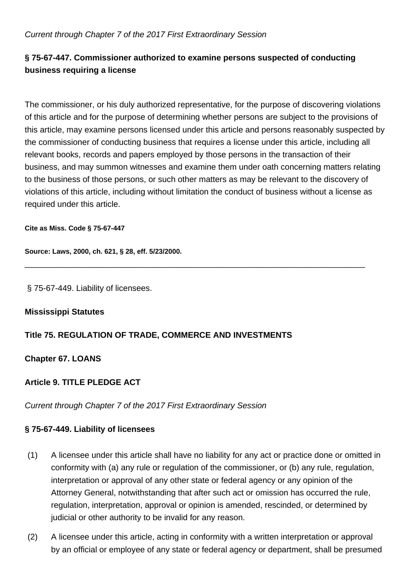## Current through Chapter 7 of the 2017 First Extraordinary Session

# **§ 75-67-447. Commissioner authorized to examine persons suspected of conducting business requiring a license**

The commissioner, or his duly authorized representative, for the purpose of discovering violations of this article and for the purpose of determining whether persons are subject to the provisions of this article, may examine persons licensed under this article and persons reasonably suspected by the commissioner of conducting business that requires a license under this article, including all relevant books, records and papers employed by those persons in the transaction of their business, and may summon witnesses and examine them under oath concerning matters relating to the business of those persons, or such other matters as may be relevant to the discovery of violations of this article, including without limitation the conduct of business without a license as required under this article.

\_\_\_\_\_\_\_\_\_\_\_\_\_\_\_\_\_\_\_\_\_\_\_\_\_\_\_\_\_\_\_\_\_\_\_\_\_\_\_\_\_\_\_\_\_\_\_\_\_\_\_\_\_\_\_\_\_\_\_\_\_\_\_\_\_\_\_\_\_\_\_\_\_\_

**Cite as Miss. Code § 75-67-447**

**Source: Laws, 2000, ch. 621, § 28, eff. 5/23/2000.**

§ 75-67-449. Liability of licensees.

### **Mississippi Statutes**

## **Title 75. REGULATION OF TRADE, COMMERCE AND INVESTMENTS**

**Chapter 67. LOANS**

## **Article 9. TITLE PLEDGE ACT**

Current through Chapter 7 of the 2017 First Extraordinary Session

## **§ 75-67-449. Liability of licensees**

- (1) A licensee under this article shall have no liability for any act or practice done or omitted in conformity with (a) any rule or regulation of the commissioner, or (b) any rule, regulation, interpretation or approval of any other state or federal agency or any opinion of the Attorney General, notwithstanding that after such act or omission has occurred the rule, regulation, interpretation, approval or opinion is amended, rescinded, or determined by judicial or other authority to be invalid for any reason.
- (2) A licensee under this article, acting in conformity with a written interpretation or approval by an official or employee of any state or federal agency or department, shall be presumed